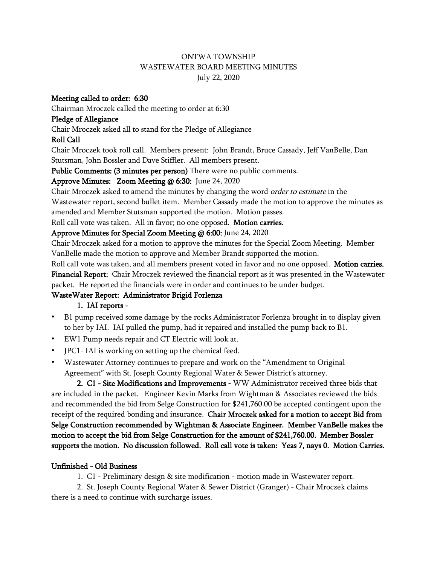#### ONTWA TOWNSHIP WASTEWATER BOARD MEETING MINUTES July 22, 2020

#### Meeting called to order: 6:30

Chairman Mroczek called the meeting to order at 6:30

#### Pledge of Allegiance

Chair Mroczek asked all to stand for the Pledge of Allegiance

# Roll Call

Chair Mroczek took roll call. Members present: John Brandt, Bruce Cassady, Jeff VanBelle, Dan Stutsman, John Bossler and Dave Stiffler. All members present.

Public Comments: (3 minutes per person) There were no public comments.

# Approve Minutes: Zoom Meeting @ 6:30: June 24, 2020

Chair Mroczek asked to amend the minutes by changing the word *order to estimate* in the Wastewater report, second bullet item. Member Cassady made the motion to approve the minutes as amended and Member Stutsman supported the motion. Motion passes.

Roll call vote was taken. All in favor; no one opposed. Motion carries.

# Approve Minutes for Special Zoom Meeting @ 6:00: June 24, 2020

Chair Mroczek asked for a motion to approve the minutes for the Special Zoom Meeting. Member VanBelle made the motion to approve and Member Brandt supported the motion.

Roll call vote was taken, and all members present voted in favor and no one opposed. Motion carries. Financial Report: Chair Mroczek reviewed the financial report as it was presented in the Wastewater packet. He reported the financials were in order and continues to be under budget.

# WasteWater Report: Administrator Brigid Forlenza

# 1. IAI reports -

- **•** B1 pump received some damage by the rocks Administrator Forlenza brought in to display given to her by IAI. IAI pulled the pump, had it repaired and installed the pump back to B1.
- **•** EW1 Pump needs repair and CT Electric will look at.
- **•** JPC1- IAI is working on setting up the chemical feed.
- **•** Wastewater Attorney continues to prepare and work on the "Amendment to Original Agreement" with St. Joseph County Regional Water & Sewer District's attorney.

2. C1 - Site Modifications and Improvements - WW Administrator received three bids that are included in the packet. Engineer Kevin Marks from Wightman & Associates reviewed the bids and recommended the bid from Selge Construction for \$241,760.00 be accepted contingent upon the receipt of the required bonding and insurance. Chair Mroczek asked for a motion to accept Bid from Selge Construction recommended by Wightman & Associate Engineer. Member VanBelle makes the motion to accept the bid from Selge Construction for the amount of \$241,760.00. Member Bossler supports the motion. No discussion followed. Roll call vote is taken: Yeas 7, nays 0. Motion Carries.

# Unfinished - Old Business

1. C1 - Preliminary design & site modification - motion made in Wastewater report.

2. St. Joseph County Regional Water & Sewer District (Granger) - Chair Mroczek claims there is a need to continue with surcharge issues.